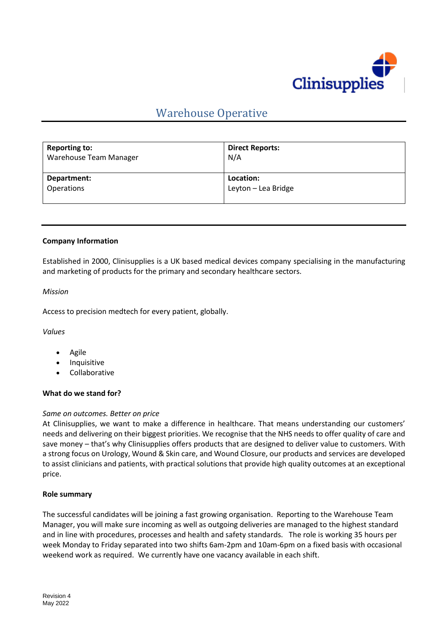

# Warehouse Operative

| <b>Reporting to:</b><br>Warehouse Team Manager | <b>Direct Reports:</b><br>N/A |
|------------------------------------------------|-------------------------------|
| Department:                                    | Location:                     |
| <b>Operations</b>                              | Leyton - Lea Bridge           |

## **Company Information**

Established in 2000, Clinisupplies is a UK based medical devices company specialising in the manufacturing and marketing of products for the primary and secondary healthcare sectors.

## *Mission*

Access to precision medtech for every patient, globally.

*Values*

- Agile
- **Inquisitive**
- Collaborative

## **What do we stand for?**

## *Same on outcomes. Better on price*

At Clinisupplies, we want to make a difference in healthcare. That means understanding our customers' needs and delivering on their biggest priorities. We recognise that the NHS needs to offer quality of care and save money – that's why Clinisupplies offers products that are designed to deliver value to customers. With a strong focus on Urology, Wound & Skin care, and Wound Closure, our products and services are developed to assist clinicians and patients, with practical solutions that provide high quality outcomes at an exceptional price.

#### **Role summary**

The successful candidates will be joining a fast growing organisation. Reporting to the Warehouse Team Manager, you will make sure incoming as well as outgoing deliveries are managed to the highest standard and in line with procedures, processes and health and safety standards. The role is working 35 hours per week Monday to Friday separated into two shifts 6am-2pm and 10am-6pm on a fixed basis with occasional weekend work as required. We currently have one vacancy available in each shift.